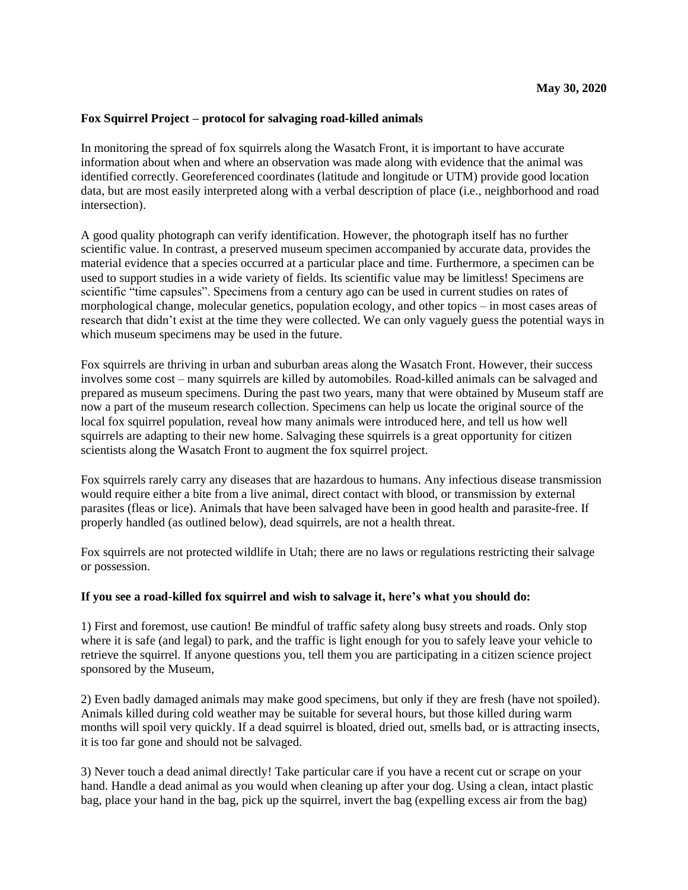## **Fox Squirrel Project – protocol for salvaging road-killed animals**

In monitoring the spread of fox squirrels along the Wasatch Front, it is important to have accurate information about when and where an observation was made along with evidence that the animal was identified correctly. Georeferenced coordinates (latitude and longitude or UTM) provide good location data, but are most easily interpreted along with a verbal description of place (i.e., neighborhood and road intersection).

A good quality photograph can verify identification. However, the photograph itself has no further scientific value. In contrast, a preserved museum specimen accompanied by accurate data, provides the material evidence that a species occurred at a particular place and time. Furthermore, a specimen can be used to support studies in a wide variety of fields. Its scientific value may be limitless! Specimens are scientific "time capsules". Specimens from a century ago can be used in current studies on rates of morphological change, molecular genetics, population ecology, and other topics – in most cases areas of research that didn't exist at the time they were collected. We can only vaguely guess the potential ways in which museum specimens may be used in the future.

Fox squirrels are thriving in urban and suburban areas along the Wasatch Front. However, their success involves some cost – many squirrels are killed by automobiles. Road-killed animals can be salvaged and prepared as museum specimens. During the past two years, many that were obtained by Museum staff are now a part of the museum research collection. Specimens can help us locate the original source of the local fox squirrel population, reveal how many animals were introduced here, and tell us how well squirrels are adapting to their new home. Salvaging these squirrels is a great opportunity for citizen scientists along the Wasatch Front to augment the fox squirrel project.

Fox squirrels rarely carry any diseases that are hazardous to humans. Any infectious disease transmission would require either a bite from a live animal, direct contact with blood, or transmission by external parasites (fleas or lice). Animals that have been salvaged have been in good health and parasite-free. If properly handled (as outlined below), dead squirrels, are not a health threat.

Fox squirrels are not protected wildlife in Utah; there are no laws or regulations restricting their salvage or possession.

## **If you see a road-killed fox squirrel and wish to salvage it, here's what you should do:**

1) First and foremost, use caution! Be mindful of traffic safety along busy streets and roads. Only stop where it is safe (and legal) to park, and the traffic is light enough for you to safely leave your vehicle to retrieve the squirrel. If anyone questions you, tell them you are participating in a citizen science project sponsored by the Museum,

2) Even badly damaged animals may make good specimens, but only if they are fresh (have not spoiled). Animals killed during cold weather may be suitable for several hours, but those killed during warm months will spoil very quickly. If a dead squirrel is bloated, dried out, smells bad, or is attracting insects, it is too far gone and should not be salvaged.

3) Never touch a dead animal directly! Take particular care if you have a recent cut or scrape on your hand. Handle a dead animal as you would when cleaning up after your dog. Using a clean, intact plastic bag, place your hand in the bag, pick up the squirrel, invert the bag (expelling excess air from the bag)